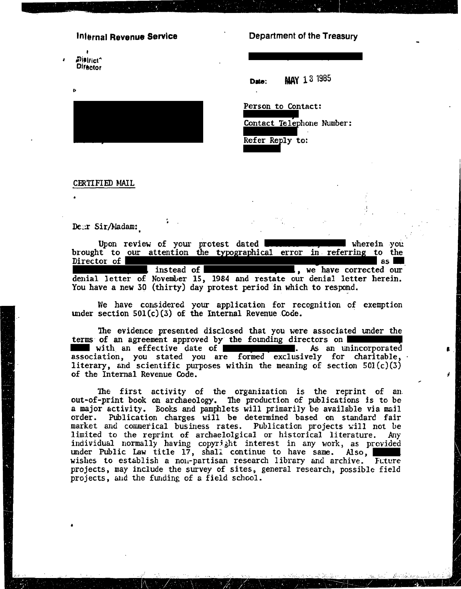#### Infernal Revenue Service

Dialfict<sup>^</sup> **Difector** 

#### Department of the Treasury

**MAY 13 1985** Date:

Contact Telephone Number:

Person to Contact:

Refer Reply to:

CERTIFIED MAIL

Dear Sir/Madam:

Upon review of your protest dated wherein you brought to our attention the typographical error in referring to the Director of l as I instead of  $\blacksquare$ , we have corrected our denial letter of November 15, 1984 and restate our denial letter herein. You have a new 30 (thirty) day protest period in which to respond.

We have considered your application for recognition of exemption under section  $501(c)(3)$  of the Internal Revenue Code.

The evidence presented disclosed that you were associated under the terms of an agreement approved by the founding directors on with an effective date of **the contract of the set of the contract of the contract of the contract of the contract of the contract of the contract of the contract of the contract of the contract of the contract of the cont** association, you stated you are formed exclusively for charitable, literary, and scientific purposes within the meaning of section  $501(c)(3)$ of the Internal Revenue Code.

The first activity of the organization is the reprint of an out-of-print book on archaeology. The production of publications is to be a major activity. Books and pamphlets will primarily be available via mail order. Publication charges will be determined based on standard fair market and commerical business rates. Publication projects will not be limited to the reprint of archaelolgical or historical literature. Any individual normally having copyright interest in any work, as provided under Public Law title 17, shall continue to have same. Also, wishes to establish a non-partisan research library and archive. Future projects, may include the survey of sites, general research, possible field projects, and the funding of a field school.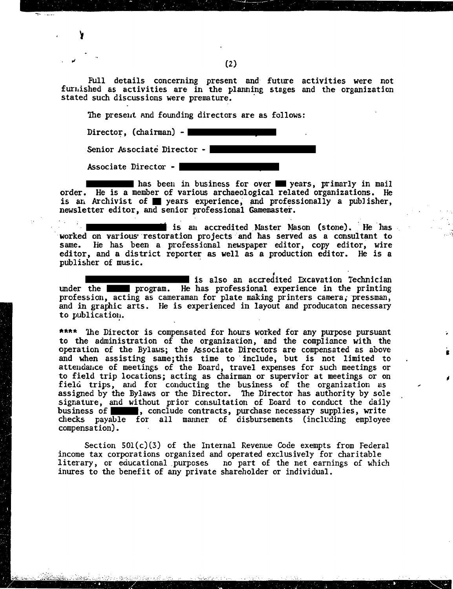Full details concerning present and future activities were not furnished as activities are in the planning stages and the organization stated such discussions were premature.

The preseut and founding directors are as follows:

Director,  $(chainman) - |$ 

 $\sim$   $-$ 

Senior Associate Director -  $\vert$ 

Associate Director -  $\mathsf{\mathsf{I}}$ 

**\*\*** has been in business for over **\*\*** years, primarly in mail order. He is a member of various archaeological related organizations. He is an Archivist of **y**ears experience, and professionally a publisher, newsletter editor, and senior professional Gamemaster.

\*

\*\*\*\*

<sup>1</sup> is an accredited Master Mason (stone). He has worked on various restoration projects and has served as a consultant to same. He has been a professional newspaper editor, copy editor, wire editor, and a district reporter **as** well as a production editor. He is a publisher of music.

\*\*\* is also an accredited Excavation Technician under the **\*\* \*** program. He has professional experience in the printing profession, acting as cameraman for plate making printers camera, pressman, and in graphic arts. He is experienced in layout and producaton necessary to publicatiou.

\*\*\*\* The Director is compensated for hours worked for any purpose pursuant to the administration of the organization, and the compliance with the operation of the Bylaws; the Associate Directors are compensated as above and when assisting same; this time to include, but is not limited to attendance of meetings of the Board, travel expenses for such meetings or to field trip locations; acting as chairman or supervior at meetings or on field trips, and for conducting the business of the organization as assigned by the Bylaws or the Director. The Director has authority by sole signature, and without prior consultation of Eoard to conduct the daily business of  $*$  , conclude contracts, purchase necessary supplies, write checks payable for all manner of disbursements (inclcding employee compensation).

Section 501(c)(3) of the Internal Revenue Code exempts from Federal income tax corporations organized and operated exclusively for charitable literary, or educational purposes no part of the net earnings of which inures to the benefit of any private shareholder or individual.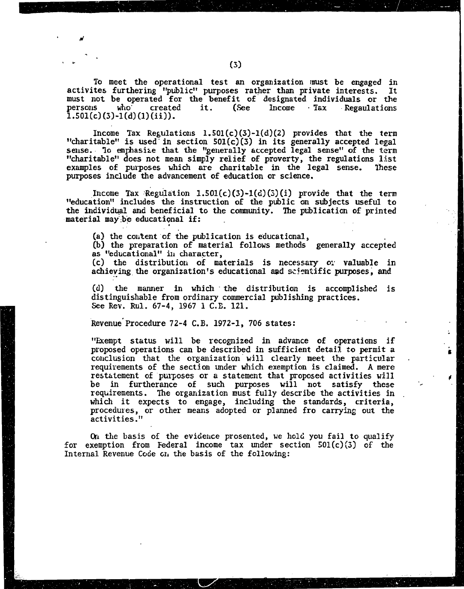To meet the operational test an organization must be engaged in activites furthering "public" purposes rather than private interests. It must not be operated for the benefit of designated individuals or the  $Income$   $Iax$   $Requality$ persons who . created it. (See  $1.501(c)(3)-1(d)(1)(ii)).$ 

Income Tax Regulations 1.501(c)(3)-1(d)(2) provides that the term<br>"charitable" is used in section 501(c)(3) in its generally accepted legal<br>sense. To emphasize that the "generally accepted legal sense" of the term "charitable" does not mean simply relief of proverty, the regulations list examples of purposes which are charitable in the legal sense. These purposes include the advancement of education or science.

Income Tax Regulation  $1.501(c)(3)-1(d)(5)(i)$  provide that the term<br>"education" includes the instruction of the public on subjects useful to the individual and beneficial to the community. The publication of printed material may be educational if:

(a) the content of the publication is educational,

(b) the preparation of material follows methods generally accepted as "educational" in character,

(c) the distribution of materials is necessary or valuable in achieving the organization's educational and scientific purposes, and

 $(d)$ the manner in which the distribution is accomplished is distinguishable from ordinary commercial publishing practices. See Rev. Rul. 67-4, 1967 1 C.E. 121.

Revenue Procedure 72-4 C.B. 1972-1, 706 states:

"Exempt status will be recognized in advance of operations if proposed operations can be described in sufficient detail to permit a conclusion that the organization will clearly meet the particular requirements of the section under which exemption is claimed. A mere restatement of purposes or a statement that proposed activities will be in furtherance of such purposes will not satisfy these requirements. The organization must fully describe the activities in which it expects to engage, including the standards, criteria, procedures, or other means adopted or planned fro carrying out the activities."

On the basis of the evidence prosented, we hold you fail to qualify for exemption from Federal income tax under section  $501(c)(3)$  of the Internal Revenue Code on the basis of the following: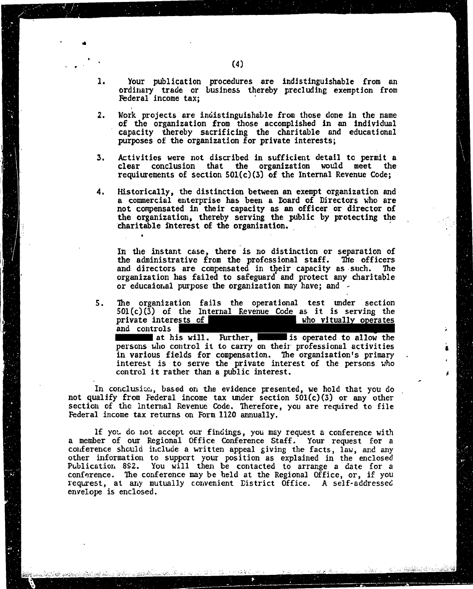- Your publication procedures are indistinguishable from an 1. ordinary trade or business thereby precluding exemption from Federal income tax;
- Work projects are indistinguishable from those done in the name  $2.$ of the organization from those accomplished in an individual capacity thereby sacrificing the charitable and educational purposes of the organization for private interests;
- Activities were not discribed in sufficient detail to permit a 3. clear conclusion that the organization would meet the requiurements of section  $501(c)(3)$  of the Internal Revenue Code;
- 4. Historically, the distinction between an exempt organization and a commercial enterprise has been a Board of Directors who are not compensated in their capacity as an officer or director of the organization, thereby serving the public by protecting the charitable interest of the organization.

In the instant case, there is no distinction or separation of the administrative from the professional staff. The officers and directors are compensated in their capacity as such. The organization has failed to safeguard and protect any charitable or educational purpose the organization may have; and -

The organization fails the operational test under section 5.  $501(c)(3)$  of the Internal Revenue Code as it is serving the private interests of who vitually operates and controls

at his will. Further, **In the set of the set of the set of the set of the set of the set of the set of the set of the set of the set of the set of the set of the set of the set of the set of the set of the set of the set o** persons who control it to carry on their professional activities in various fields for compensation. The organization's primary interest is to serve the private interest of the persons who control it rather than a public interest.

In conclusion, based on the evidence presented, we hold that you do not qualify from Federal income tax under section  $501(c)(3)$  or any other section of the Internal Revenue Code. Therefore, you are required to file Federal income tax returns on Form 1120 annually.

If you do not accept our findings, you may request a conference with a member of our Regional Office Conference Staff. Your request for a conference should include a written appeal giving the facts, law, and any other information to support your position as explained in the enclosed Publication 892. You will then be contacted to arrange a date for a conference. The conference may be held at the Regional Office, or, if you requrest, at any mutually convenient District Office. A self-addressed envelope is enclosed.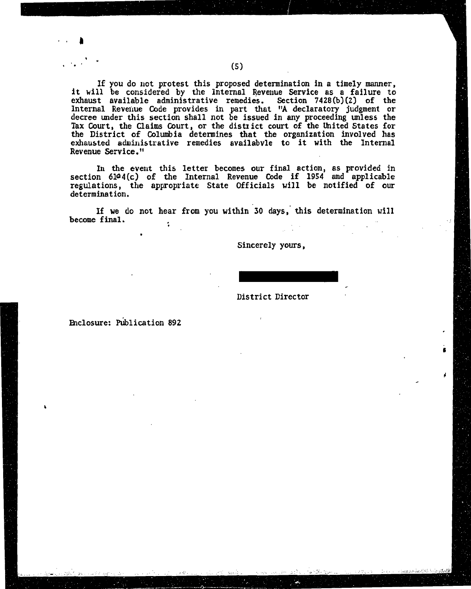If you do not protest this proposed determination in a timely manner. it will be considered by the Internal Revenue Service as a failure to exhaust available administrative remedies. Section 7428(b)(2) of the<br>Internal Revenue Code provides in part that "A declaratory judgment or<br>decree under this section shall not be issued in any proceeding unless the<br>Tax Cou the District of Columbia determines that the organization involved has exhausted administrative remedies availabyle to it with the Internal Revenue Service."

In the event this letter becomes our final action, as provided in section 6144(c) of the Internal Revenue Code if 1954 and applicable regulations, the appropriate State Officials will be notified of our determination.

If we do not hear from you within 30 days, this determination will become final.  $\ddot{\cdot}$ 

Sincerely yours,

District Director

Enclosure: Publication 892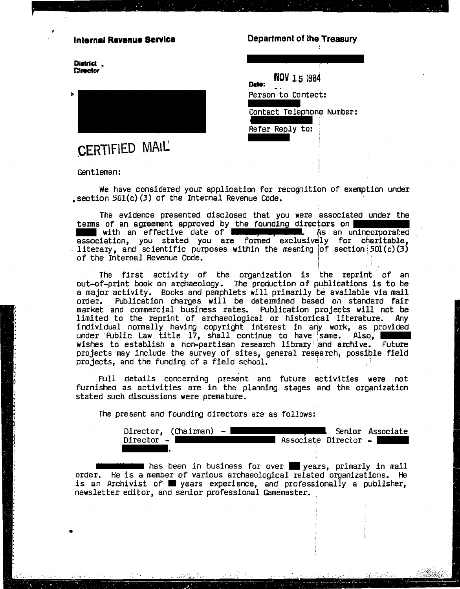## **Internal Revenue Scrvice**

District<sub>a</sub> **Chrector** 



# CERTIFIED MAIL'

Gentlemen:

Department of the Treasury

NOV 15 1984 Date: Person to Contact:

Contact Telephone Number:

Refer Reply to:

We have considered your application for recognition of exemption under section 501(c)(3) of the Internal Revenue Code.

The evidence presented disclosed that you were associated under the terms of an agreement approved by the founding directors on with an effective date of **Elisabeth Contains the set of the set of the set of the set of the set of the set of the set of the set of the set of the set of the set of the set of the set of the set of the set of the set of Education**. As an unincorporated of the Internal Revenue Code.

The first activity of the organization is the reprint of an out-of-print book on archaeology. The production of publications is to be a major activity. Books and pamphlets will primarily be available via mail order. Publication charges will be determined based on standard fair market and commercial business rates. Publication projects will not be limited to the reprint of archaeological or historical literature. Any individual normally having copyright interest in any work, as provided under Public Law title  $17$ , shall continue to have same. Also, wishes to establish a non-partisan research library and archive. Future projects may include the survey of sites, general research, possible field projects, and the funding of a field school.

Full details concerning present and future activities were not furnished as activities are in the planning stages and the organization stated such discussions were premature.

The present and founding directors are as follows:

Director,  $(Chainman) - \blacksquare$ Senior Associate Associate Director -Director - |

 $-162.0$ 

which has been in business for over supears, primarly in mail order. He is a member of various archaeological related organizations. He is an Archivist of syears experience, and professionally a publisher, newsletter editor, and senior professional Gamemaster.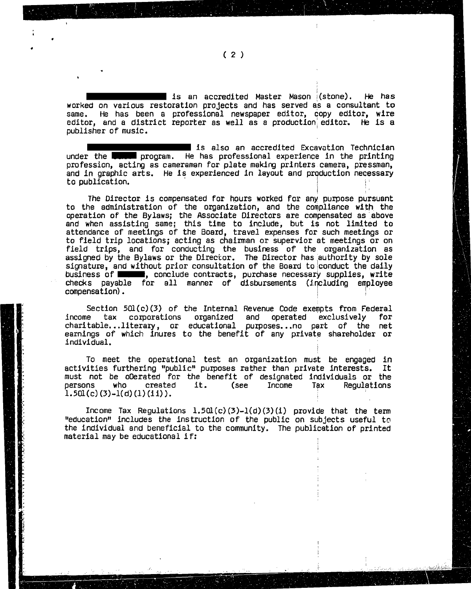$\;$  is an accredited Master Mason  $\;$  (stone). He has worked on various restoration projects and has served as a consultant to same. He has been a professional newspaper editor, copy editor, wire editor, and a district reporter as well as a production editor. He is a publisher of music.

 $\blacksquare$  is also an accredited Excavation Technician under the **teams program.** He has professional experience in the printing<br>profession, acting as cameraman for plate making printers camera, pressman, and in graphic arts. He is experienced in layout and production necessary to publication.

The Director is compensated for hours worked for any purpose pursuant to the administration of the organization, and the compliance with the operation of the Bylaws; the Associate Directors are compensated as above and when assisting same; this time to include, but is not limited to attendance of meetings of the Board, travel expenses for such meetings or to field trip locations; acting as chairman or supervior at meetings or on field trips, and for conducting the business of the organization as assigned by the Bylaws or the Director. The Director has authority by sole signature, and without prior consultation of the Board to conduct the daily business of **EXAMP**, conclude contracts, purchase necessary supplies, write checks payable for all manner of disbursements (including employee compensation).

Section 501(c)(3) of the Internal Revenue Code exempts from Federal<br>e tax corporations organized and operated exclusively for income tax corporations organized and operated exclusively for charitable. . .literary, or educational purposes. . .no part of the net earnings of which inures to the benefit of any private shareholder or individual.

To meet the operational test an organization must be engaged in activities furthering "public" purposes rather than private interests. It must not be oOerated for the benefit of designated individuals or the persons who created it. (see Income **Tgx** Regulations persons who created it. (see Income Tax  $1.50l(c)(3)-l(d)(1)(ii)$ ).

Income Tax Regulations 1.5Ql (c) (3)-l(d) **(3)** (1) provide that the term  $"equation"$  includes the instruction of the public on subjects useful to the individual and beneficial to the community. The publication of printed material may be educational if:

1

÷

,

 $(2)$ 

t

**i**  \*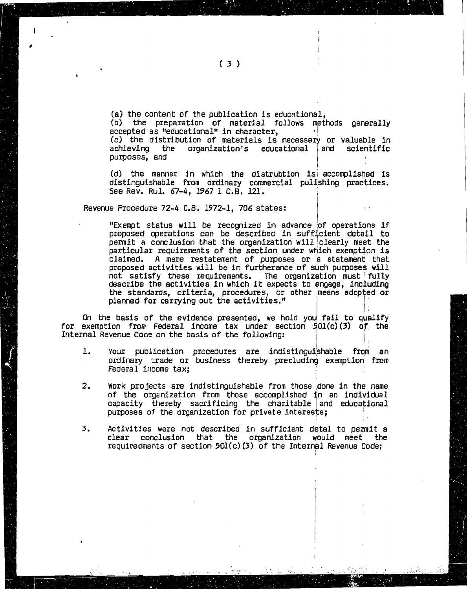$(a)$  the content of the publication is educational. (b) the preparation of material follows methods generally accepted as "educational" in character, (c) the distribution of materials is necessary or valuable in achieving the organization's educational and scientific achieving the organization's educational purposes, and purposes, and I <sup>I</sup>

**(d)** the manner in which the distrubtion is, accomplished is distinguishable from ordinary commercial pulishing practices**.**<br>See·Rev. Rul. 67–4, 1967 1 C.B. 121.

Revenue Procedure 72-4 C.B. 1972-1, 706 states:

"Exempt status will be recognized in advance of operations if proposed operations can be described in sufficient detail to permit a conclusion that the organization will clearly meet the particular requirements of the section under which exemption is claimed. A mere restatement of purposes or a statement that proposed activities will be in furtherance of such purposes will not satisfy these requirements. The organization must fully describe the activities in which it expects to engage, including the standards, criteria, procedures, or other means adopted or planned for carrying out the activities."

On the basis of the evidence presented, we hold you fail to qualify for exemption from Federal income tax under section 501(c)(3) of the Internal Revenue Code on the basis of the following:

- $\mathbf{1}$ . Your publication procedures are indistinguishable from an ordinary trade or business thereby precluding exemption from Federal income tax;
- 2. Work projects are indistinguishable from those done in the name of the organization from those accomplished in an individual capacity thereby sacrificing the charitable and educational purposes of the organization for private interests;
- **3.** Activitjes were not described in sufficient detal to permit a clear conclusion that the organlzatlon yould meet the requiredments of section 5Ql(c) **(3)** of the Internal Revenue Code;

I

 $\sqrt{2}$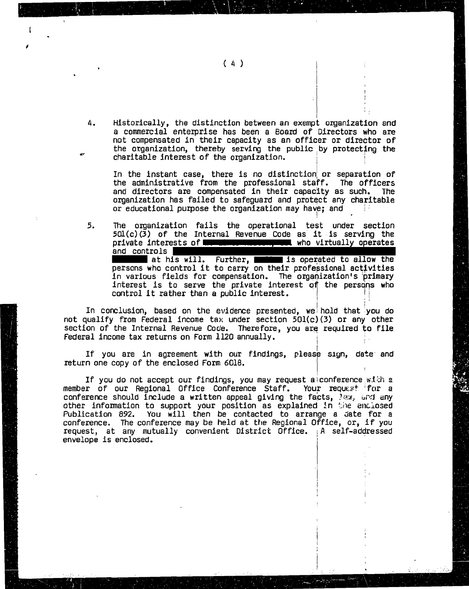### $(4)$

 $\Delta$ . Historically, the distinction between an exempt organization and a commercial enterprise has been a Board of Directors who are not compensated in their capacity as an officer or director of the organization, thereby serving the public by protecting the charitable interest of the organization.

In the instant case, there is no distinction or separation of the administrative from the professional staff. The officers and directors are compensated in their capacity as such. **The** organization has failed to safeguard and protect any charitable or educational purpose the organization may have; and

5. The organization fails the operational test under section  $50\Gamma(c)(3)$  of the Internal Revenue Code as it is serving the private interests of **me compared to the vertual controlly** operates and controls | at his will. Further, seems is operated to allow the

persons who control it to carry on their professional activities in various fields for compensation. The organization's primary interest is to serve the private interest of the persons who control it rather than a public interest.

In conclusion, based on the evidence presented, we hold that you do not qualify from Federal income tax under section  $50l(c)(3)$  or any other section of the Internal Revenue Code. Therefore, you are required to file Federal income tax returns on Form 1120 annually.

If you are in agreement with our findings, please sign, date and return one copy of the enclosed Form 6018.

If you do not accept our findings, you may request alconference with a member of our Regional Office Conference Staff. Your request for a conference should include a written appeal giving the facts, law, and any other information to support your position as explained in the enclosed Publication 892. You will then be contacted to arrange a date for a conference. The conference may be held at the Regional Office, or, if you request, at any mutually convenient District Office. A self-addressed envelope is enclosed.